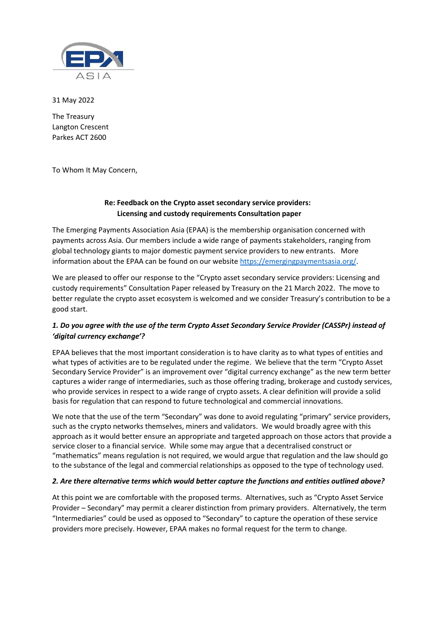

31 May 2022

The Treasury Langton Crescent Parkes ACT 2600

To Whom It May Concern,

#### Re: Feedback on the Crypto asset secondary service providers: Licensing and custody requirements Consultation paper

The Emerging Payments Association Asia (EPAA) is the membership organisation concerned with payments across Asia. Our members include a wide range of payments stakeholders, ranging from global technology giants to major domestic payment service providers to new entrants. More information about the EPAA can be found on our website https://emergingpaymentsasia.org/.

We are pleased to offer our response to the "Crypto asset secondary service providers: Licensing and custody requirements" Consultation Paper released by Treasury on the 21 March 2022. The move to better regulate the crypto asset ecosystem is welcomed and we consider Treasury's contribution to be a good start.

# 1. Do you agree with the use of the term Crypto Asset Secondary Service Provider (CASSPr) instead of 'digital currency exchange'?

EPAA believes that the most important consideration is to have clarity as to what types of entities and what types of activities are to be regulated under the regime. We believe that the term "Crypto Asset Secondary Service Provider" is an improvement over "digital currency exchange" as the new term better captures a wider range of intermediaries, such as those offering trading, brokerage and custody services, who provide services in respect to a wide range of crypto assets. A clear definition will provide a solid basis for regulation that can respond to future technological and commercial innovations.

We note that the use of the term "Secondary" was done to avoid regulating "primary" service providers, such as the crypto networks themselves, miners and validators. We would broadly agree with this approach as it would better ensure an appropriate and targeted approach on those actors that provide a service closer to a financial service. While some may argue that a decentralised construct or "mathematics" means regulation is not required, we would argue that regulation and the law should go to the substance of the legal and commercial relationships as opposed to the type of technology used.

## 2. Are there alternative terms which would better capture the functions and entities outlined above?

At this point we are comfortable with the proposed terms. Alternatives, such as "Crypto Asset Service Provider – Secondary" may permit a clearer distinction from primary providers. Alternatively, the term "Intermediaries" could be used as opposed to "Secondary" to capture the operation of these service providers more precisely. However, EPAA makes no formal request for the term to change.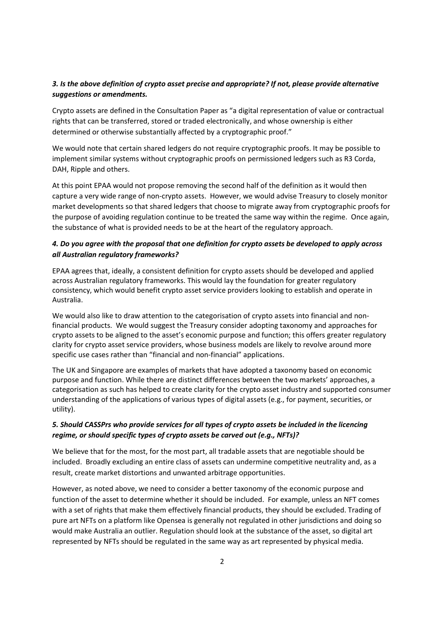#### 3. Is the above definition of crypto asset precise and appropriate? If not, please provide alternative suggestions or amendments.

Crypto assets are defined in the Consultation Paper as "a digital representation of value or contractual rights that can be transferred, stored or traded electronically, and whose ownership is either determined or otherwise substantially affected by a cryptographic proof."

We would note that certain shared ledgers do not require cryptographic proofs. It may be possible to implement similar systems without cryptographic proofs on permissioned ledgers such as R3 Corda, DAH, Ripple and others.

At this point EPAA would not propose removing the second half of the definition as it would then capture a very wide range of non-crypto assets. However, we would advise Treasury to closely monitor market developments so that shared ledgers that choose to migrate away from cryptographic proofs for the purpose of avoiding regulation continue to be treated the same way within the regime. Once again, the substance of what is provided needs to be at the heart of the regulatory approach.

## 4. Do you agree with the proposal that one definition for crypto assets be developed to apply across all Australian regulatory frameworks?

EPAA agrees that, ideally, a consistent definition for crypto assets should be developed and applied across Australian regulatory frameworks. This would lay the foundation for greater regulatory consistency, which would benefit crypto asset service providers looking to establish and operate in Australia.

We would also like to draw attention to the categorisation of crypto assets into financial and nonfinancial products. We would suggest the Treasury consider adopting taxonomy and approaches for crypto assets to be aligned to the asset's economic purpose and function; this offers greater regulatory clarity for crypto asset service providers, whose business models are likely to revolve around more specific use cases rather than "financial and non-financial" applications.

The UK and Singapore are examples of markets that have adopted a taxonomy based on economic purpose and function. While there are distinct differences between the two markets' approaches, a categorisation as such has helped to create clarity for the crypto asset industry and supported consumer understanding of the applications of various types of digital assets (e.g., for payment, securities, or utility).

## 5. Should CASSPrs who provide services for all types of crypto assets be included in the licencing regime, or should specific types of crypto assets be carved out (e.g., NFTs)?

We believe that for the most, for the most part, all tradable assets that are negotiable should be included. Broadly excluding an entire class of assets can undermine competitive neutrality and, as a result, create market distortions and unwanted arbitrage opportunities.

However, as noted above, we need to consider a better taxonomy of the economic purpose and function of the asset to determine whether it should be included. For example, unless an NFT comes with a set of rights that make them effectively financial products, they should be excluded. Trading of pure art NFTs on a platform like Opensea is generally not regulated in other jurisdictions and doing so would make Australia an outlier. Regulation should look at the substance of the asset, so digital art represented by NFTs should be regulated in the same way as art represented by physical media.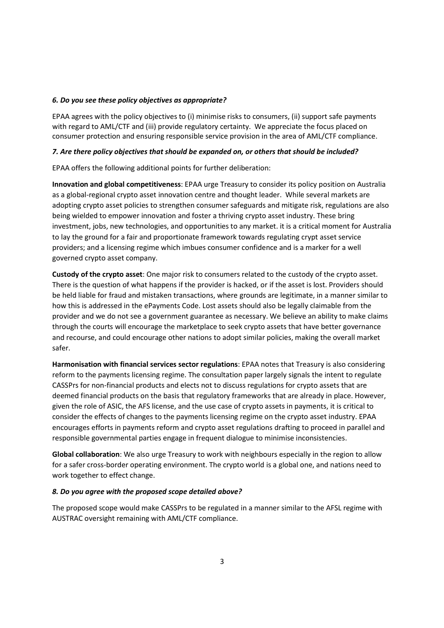#### 6. Do you see these policy objectives as appropriate?

EPAA agrees with the policy objectives to (i) minimise risks to consumers, (ii) support safe payments with regard to AML/CTF and (iii) provide regulatory certainty. We appreciate the focus placed on consumer protection and ensuring responsible service provision in the area of AML/CTF compliance.

#### 7. Are there policy objectives that should be expanded on, or others that should be included?

EPAA offers the following additional points for further deliberation:

Innovation and global competitiveness: EPAA urge Treasury to consider its policy position on Australia as a global-regional crypto asset innovation centre and thought leader. While several markets are adopting crypto asset policies to strengthen consumer safeguards and mitigate risk, regulations are also being wielded to empower innovation and foster a thriving crypto asset industry. These bring investment, jobs, new technologies, and opportunities to any market. it is a critical moment for Australia to lay the ground for a fair and proportionate framework towards regulating crypt asset service providers; and a licensing regime which imbues consumer confidence and is a marker for a well governed crypto asset company.

Custody of the crypto asset: One major risk to consumers related to the custody of the crypto asset. There is the question of what happens if the provider is hacked, or if the asset is lost. Providers should be held liable for fraud and mistaken transactions, where grounds are legitimate, in a manner similar to how this is addressed in the ePayments Code. Lost assets should also be legally claimable from the provider and we do not see a government guarantee as necessary. We believe an ability to make claims through the courts will encourage the marketplace to seek crypto assets that have better governance and recourse, and could encourage other nations to adopt similar policies, making the overall market safer.

Harmonisation with financial services sector regulations: EPAA notes that Treasury is also considering reform to the payments licensing regime. The consultation paper largely signals the intent to regulate CASSPrs for non-financial products and elects not to discuss regulations for crypto assets that are deemed financial products on the basis that regulatory frameworks that are already in place. However, given the role of ASIC, the AFS license, and the use case of crypto assets in payments, it is critical to consider the effects of changes to the payments licensing regime on the crypto asset industry. EPAA encourages efforts in payments reform and crypto asset regulations drafting to proceed in parallel and responsible governmental parties engage in frequent dialogue to minimise inconsistencies.

Global collaboration: We also urge Treasury to work with neighbours especially in the region to allow for a safer cross-border operating environment. The crypto world is a global one, and nations need to work together to effect change.

#### 8. Do you agree with the proposed scope detailed above?

The proposed scope would make CASSPrs to be regulated in a manner similar to the AFSL regime with AUSTRAC oversight remaining with AML/CTF compliance.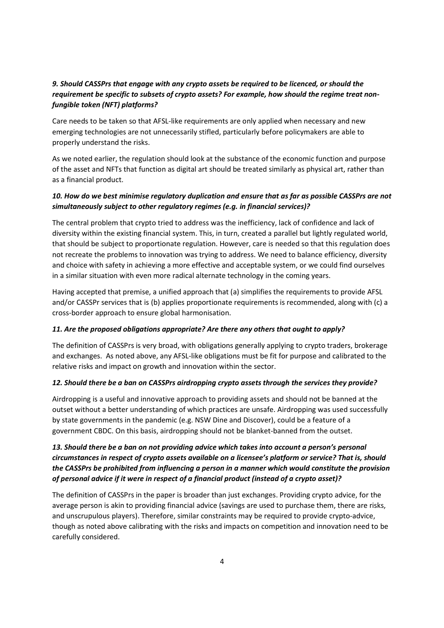## 9. Should CASSPrs that engage with any crypto assets be required to be licenced, or should the requirement be specific to subsets of crypto assets? For example, how should the regime treat nonfungible token (NFT) platforms?

Care needs to be taken so that AFSL-like requirements are only applied when necessary and new emerging technologies are not unnecessarily stifled, particularly before policymakers are able to properly understand the risks.

As we noted earlier, the regulation should look at the substance of the economic function and purpose of the asset and NFTs that function as digital art should be treated similarly as physical art, rather than as a financial product.

## 10. How do we best minimise regulatory duplication and ensure that as far as possible CASSPrs are not simultaneously subject to other regulatory regimes (e.g. in financial services)?

The central problem that crypto tried to address was the inefficiency, lack of confidence and lack of diversity within the existing financial system. This, in turn, created a parallel but lightly regulated world, that should be subject to proportionate regulation. However, care is needed so that this regulation does not recreate the problems to innovation was trying to address. We need to balance efficiency, diversity and choice with safety in achieving a more effective and acceptable system, or we could find ourselves in a similar situation with even more radical alternate technology in the coming years.

Having accepted that premise, a unified approach that (a) simplifies the requirements to provide AFSL and/or CASSPr services that is (b) applies proportionate requirements is recommended, along with (c) a cross-border approach to ensure global harmonisation.

#### 11. Are the proposed obligations appropriate? Are there any others that ought to apply?

The definition of CASSPrs is very broad, with obligations generally applying to crypto traders, brokerage and exchanges. As noted above, any AFSL-like obligations must be fit for purpose and calibrated to the relative risks and impact on growth and innovation within the sector.

#### 12. Should there be a ban on CASSPrs airdropping crypto assets through the services they provide?

Airdropping is a useful and innovative approach to providing assets and should not be banned at the outset without a better understanding of which practices are unsafe. Airdropping was used successfully by state governments in the pandemic (e.g. NSW Dine and Discover), could be a feature of a government CBDC. On this basis, airdropping should not be blanket-banned from the outset.

# 13. Should there be a ban on not providing advice which takes into account a person's personal circumstances in respect of crypto assets available on a licensee's platform or service? That is, should the CASSPrs be prohibited from influencing a person in a manner which would constitute the provision of personal advice if it were in respect of a financial product (instead of a crypto asset)?

The definition of CASSPrs in the paper is broader than just exchanges. Providing crypto advice, for the average person is akin to providing financial advice (savings are used to purchase them, there are risks, and unscrupulous players). Therefore, similar constraints may be required to provide crypto-advice, though as noted above calibrating with the risks and impacts on competition and innovation need to be carefully considered.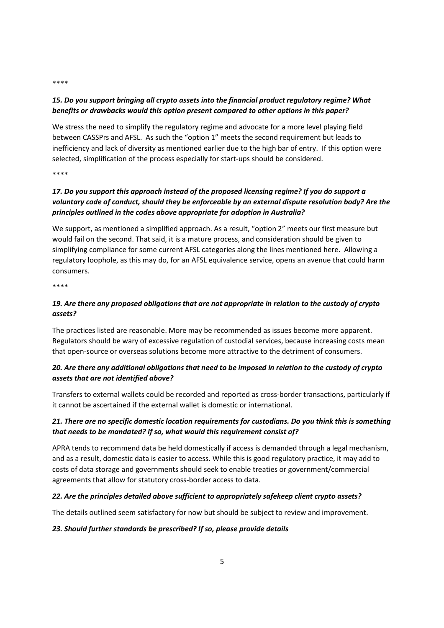#### \*\*\*\*

## 15. Do you support bringing all crypto assets into the financial product regulatory regime? What benefits or drawbacks would this option present compared to other options in this paper?

We stress the need to simplify the regulatory regime and advocate for a more level playing field between CASSPrs and AFSL. As such the "option 1" meets the second requirement but leads to inefficiency and lack of diversity as mentioned earlier due to the high bar of entry. If this option were selected, simplification of the process especially for start-ups should be considered.

\*\*\*\*

# 17. Do you support this approach instead of the proposed licensing regime? If you do support a voluntary code of conduct, should they be enforceable by an external dispute resolution body? Are the principles outlined in the codes above appropriate for adoption in Australia?

We support, as mentioned a simplified approach. As a result, "option 2" meets our first measure but would fail on the second. That said, it is a mature process, and consideration should be given to simplifying compliance for some current AFSL categories along the lines mentioned here. Allowing a regulatory loophole, as this may do, for an AFSL equivalence service, opens an avenue that could harm consumers.

\*\*\*\*

# 19. Are there any proposed obligations that are not appropriate in relation to the custody of crypto assets?

The practices listed are reasonable. More may be recommended as issues become more apparent. Regulators should be wary of excessive regulation of custodial services, because increasing costs mean that open-source or overseas solutions become more attractive to the detriment of consumers.

# 20. Are there any additional obligations that need to be imposed in relation to the custody of crypto assets that are not identified above?

Transfers to external wallets could be recorded and reported as cross-border transactions, particularly if it cannot be ascertained if the external wallet is domestic or international.

# 21. There are no specific domestic location requirements for custodians. Do you think this is something that needs to be mandated? If so, what would this requirement consist of?

APRA tends to recommend data be held domestically if access is demanded through a legal mechanism, and as a result, domestic data is easier to access. While this is good regulatory practice, it may add to costs of data storage and governments should seek to enable treaties or government/commercial agreements that allow for statutory cross-border access to data.

## 22. Are the principles detailed above sufficient to appropriately safekeep client crypto assets?

The details outlined seem satisfactory for now but should be subject to review and improvement.

## 23. Should further standards be prescribed? If so, please provide details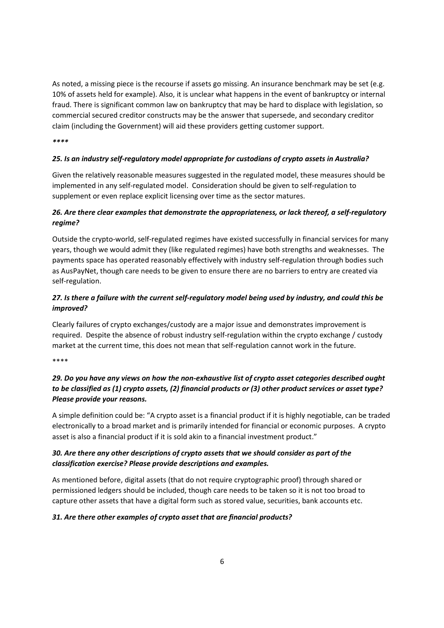As noted, a missing piece is the recourse if assets go missing. An insurance benchmark may be set (e.g. 10% of assets held for example). Also, it is unclear what happens in the event of bankruptcy or internal fraud. There is significant common law on bankruptcy that may be hard to displace with legislation, so commercial secured creditor constructs may be the answer that supersede, and secondary creditor claim (including the Government) will aid these providers getting customer support.

\*\*\*\*

#### 25. Is an industry self-regulatory model appropriate for custodians of crypto assets in Australia?

Given the relatively reasonable measures suggested in the regulated model, these measures should be implemented in any self-regulated model. Consideration should be given to self-regulation to supplement or even replace explicit licensing over time as the sector matures.

## 26. Are there clear examples that demonstrate the appropriateness, or lack thereof, a self-regulatory regime?

Outside the crypto-world, self-regulated regimes have existed successfully in financial services for many years, though we would admit they (like regulated regimes) have both strengths and weaknesses. The payments space has operated reasonably effectively with industry self-regulation through bodies such as AusPayNet, though care needs to be given to ensure there are no barriers to entry are created via self-regulation.

## 27. Is there a failure with the current self-regulatory model being used by industry, and could this be improved?

Clearly failures of crypto exchanges/custody are a major issue and demonstrates improvement is required. Despite the absence of robust industry self-regulation within the crypto exchange / custody market at the current time, this does not mean that self-regulation cannot work in the future.

\*\*\*\*

# 29. Do you have any views on how the non-exhaustive list of crypto asset categories described ought to be classified as (1) crypto assets, (2) financial products or (3) other product services or asset type? Please provide your reasons.

A simple definition could be: "A crypto asset is a financial product if it is highly negotiable, can be traded electronically to a broad market and is primarily intended for financial or economic purposes. A crypto asset is also a financial product if it is sold akin to a financial investment product."

## 30. Are there any other descriptions of crypto assets that we should consider as part of the classification exercise? Please provide descriptions and examples.

As mentioned before, digital assets (that do not require cryptographic proof) through shared or permissioned ledgers should be included, though care needs to be taken so it is not too broad to capture other assets that have a digital form such as stored value, securities, bank accounts etc.

## 31. Are there other examples of crypto asset that are financial products?